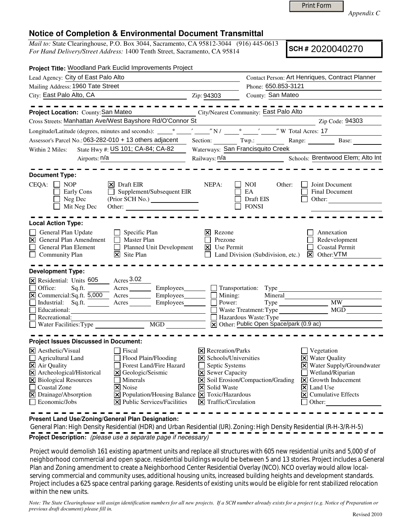Print Form

*Appendix C* 

## **Notice of Completion & Environmental Document Transmittal**

*Mail to:* State Clearinghouse, P.O. Box 3044, Sacramento, CA 95812-3044 (916) 445-0613 *For Hand Delivery/Street Address:* 1400 Tenth Street, Sacramento, CA 95814

**SCH #** 2020040270

| Project Title: Woodland Park Euclid Improvements Project                                                                                                                                                                                                                                                                                                                                                                                                          |                                                                                                               |     |                                                                                |                                                                 |                                   |                                  |                                                            |  |
|-------------------------------------------------------------------------------------------------------------------------------------------------------------------------------------------------------------------------------------------------------------------------------------------------------------------------------------------------------------------------------------------------------------------------------------------------------------------|---------------------------------------------------------------------------------------------------------------|-----|--------------------------------------------------------------------------------|-----------------------------------------------------------------|-----------------------------------|----------------------------------|------------------------------------------------------------|--|
| Lead Agency: City of East Palo Alto                                                                                                                                                                                                                                                                                                                                                                                                                               |                                                                                                               |     |                                                                                | Contact Person: Art Henriques, Contract Planner                 |                                   |                                  |                                                            |  |
| Mailing Address: 1960 Tate Street                                                                                                                                                                                                                                                                                                                                                                                                                                 |                                                                                                               |     |                                                                                | Phone: 650.853-3121                                             |                                   |                                  |                                                            |  |
| City: East Palo Alto, CA                                                                                                                                                                                                                                                                                                                                                                                                                                          |                                                                                                               |     | Zip: 94303                                                                     |                                                                 | County: San Mateo                 |                                  |                                                            |  |
|                                                                                                                                                                                                                                                                                                                                                                                                                                                                   |                                                                                                               |     |                                                                                |                                                                 |                                   |                                  |                                                            |  |
| Project Location: County: San Mateo                                                                                                                                                                                                                                                                                                                                                                                                                               | City/Nearest Community: East Palo Alto                                                                        |     |                                                                                |                                                                 |                                   |                                  |                                                            |  |
| Cross Streets: Manhattan Ave/West Bayshore Rd/O'Connor St                                                                                                                                                                                                                                                                                                                                                                                                         |                                                                                                               |     |                                                                                |                                                                 |                                   |                                  | Zip Code: 94303                                            |  |
|                                                                                                                                                                                                                                                                                                                                                                                                                                                                   |                                                                                                               |     |                                                                                |                                                                 |                                   |                                  |                                                            |  |
| Longitude/Latitude (degrees, minutes and seconds): $\frac{1}{\sqrt{N}} \cdot \frac{1}{\sqrt{N}} = \frac{1}{\sqrt{N}} \cdot \frac{1}{\sqrt{N}} = \frac{1}{\sqrt{N}} \cdot \frac{1}{\sqrt{N}} = \frac{1}{\sqrt{N}} \cdot \frac{1}{\sqrt{N}} = \frac{1}{\sqrt{N}} \cdot \frac{1}{\sqrt{N}} = \frac{1}{\sqrt{N}} \cdot \frac{1}{\sqrt{N}} = \frac{1}{\sqrt{N}} \cdot \frac{1}{\sqrt{N}} = \frac{1}{\sqrt{$<br>Assessor's Parcel No.: 063-282-010 + 13 others adjacent |                                                                                                               |     |                                                                                |                                                                 |                                   |                                  | Section: Twp.: Range: Base:                                |  |
| State Hwy #: US 101; CA-84; CA-82<br>Within 2 Miles:                                                                                                                                                                                                                                                                                                                                                                                                              |                                                                                                               |     |                                                                                |                                                                 | Waterways: San Francisquito Creek |                                  |                                                            |  |
| Airports: n/a                                                                                                                                                                                                                                                                                                                                                                                                                                                     |                                                                                                               |     |                                                                                |                                                                 | Schools: Brentwood Elem; Alto Int |                                  |                                                            |  |
| <b>Document Type:</b>                                                                                                                                                                                                                                                                                                                                                                                                                                             |                                                                                                               |     |                                                                                |                                                                 |                                   |                                  |                                                            |  |
| $CEQA: \Box NP$<br>Early Cons<br>Neg Dec<br>Mit Neg Dec                                                                                                                                                                                                                                                                                                                                                                                                           | $ \mathsf{x} $ Draft EIR<br>Supplement/Subsequent EIR                                                         |     | NEPA:                                                                          | NOI<br>EA<br>Draft EIS<br><b>FONSI</b>                          | Other:                            |                                  | Joint Document<br>Final Document<br>Other: $\qquad \qquad$ |  |
| <b>Local Action Type:</b>                                                                                                                                                                                                                                                                                                                                                                                                                                         |                                                                                                               |     |                                                                                |                                                                 |                                   |                                  |                                                            |  |
| General Plan Update<br>$\boxtimes$<br>General Plan Amendment<br>$\Box$<br>General Plan Element<br>Community Plan                                                                                                                                                                                                                                                                                                                                                  | Specific Plan<br>ப<br>П<br>Master Plan<br>$\Box$<br>Planned Unit Development<br>$ \mathbf{\nabla} $ Site Plan | Ι×Ι | Rezone<br>Prezone<br>$\vert$ Use Permit                                        | $\Box$ Land Division (Subdivision, etc.) $\boxtimes$ Other: VTM |                                   |                                  | Annexation<br>Redevelopment<br><b>Coastal Permit</b>       |  |
| <b>Development Type:</b>                                                                                                                                                                                                                                                                                                                                                                                                                                          |                                                                                                               |     |                                                                                |                                                                 |                                   |                                  |                                                            |  |
| X Residential: Units 605 Acres 3.02<br>Office:                                                                                                                                                                                                                                                                                                                                                                                                                    | Sq.ft. _________ Acres __________ Employees________                                                           |     |                                                                                | $\Box$ Transportation: Type                                     |                                   |                                  |                                                            |  |
|                                                                                                                                                                                                                                                                                                                                                                                                                                                                   |                                                                                                               |     | $\overline{\Box}$ Mining:                                                      |                                                                 | Mineral                           |                                  |                                                            |  |
| $\Box$                                                                                                                                                                                                                                                                                                                                                                                                                                                            | Industrial: Sq.ft. Acres Employees Brown:                                                                     |     |                                                                                |                                                                 |                                   |                                  | $\overline{MW}$                                            |  |
| Educational:<br><u> 1980 - Johann Barbara, martin amerikan basar dan berasal dan berasal dalam basar dalam basar dalam basar dala</u>                                                                                                                                                                                                                                                                                                                             |                                                                                                               |     |                                                                                |                                                                 |                                   |                                  | Waste Treatment: Type MGD                                  |  |
| Ē<br>Recreational:                                                                                                                                                                                                                                                                                                                                                                                                                                                |                                                                                                               |     | Hazardous Waste: Type<br>$\overline{X}$ Other: Public Open Space/park (0.9 ac) |                                                                 |                                   |                                  |                                                            |  |
|                                                                                                                                                                                                                                                                                                                                                                                                                                                                   |                                                                                                               |     |                                                                                |                                                                 |                                   |                                  |                                                            |  |
| <b>Project Issues Discussed in Document:</b>                                                                                                                                                                                                                                                                                                                                                                                                                      |                                                                                                               |     |                                                                                |                                                                 |                                   |                                  |                                                            |  |
| $\times$ Aesthetic/Visual                                                                                                                                                                                                                                                                                                                                                                                                                                         | Fiscal                                                                                                        |     | $\times$ Recreation/Parks                                                      |                                                                 |                                   | $\Box$ Vegetation                |                                                            |  |
| $\Box$ Agricultural Land                                                                                                                                                                                                                                                                                                                                                                                                                                          | Flood Plain/Flooding                                                                                          |     |                                                                                | $\times$ Schools/Universities                                   |                                   | X Water Quality                  |                                                            |  |
| X Air Quality                                                                                                                                                                                                                                                                                                                                                                                                                                                     | Forest Land/Fire Hazard                                                                                       |     | Septic Systems                                                                 |                                                                 |                                   |                                  | X Water Supply/Groundwater                                 |  |
| X Archeological/Historical<br>X Biological Resources                                                                                                                                                                                                                                                                                                                                                                                                              | $\Xi$ Geologic/Seismic<br>Minerals                                                                            |     | $\mathsf{\Sigma}$ Sewer Capacity                                               | $\boxed{\mathsf{X}}$ Soil Erosion/Compaction/Grading            |                                   |                                  | Wetland/Riparian<br>$\triangleright$ Growth Inducement     |  |
| Coastal Zone                                                                                                                                                                                                                                                                                                                                                                                                                                                      | X Noise                                                                                                       |     | <b>X</b> Solid Waste                                                           |                                                                 |                                   | $\overline{\mathsf{x}}$ Land Use |                                                            |  |
| X Drainage/Absorption                                                                                                                                                                                                                                                                                                                                                                                                                                             | $\boxed{\mathbf{X}}$ Population/Housing Balance $\boxed{\mathbf{X}}$ Toxic/Hazardous                          |     |                                                                                |                                                                 |                                   |                                  | $\boxed{\mathsf{X}}$ Cumulative Effects                    |  |
| $\Box$ Economic/Jobs                                                                                                                                                                                                                                                                                                                                                                                                                                              | $\triangleright$ Public Services/Facilities                                                                   |     | $\vert\mathbf{X}\vert$ Traffic/Circulation                                     |                                                                 |                                   | $\Box$ Other:                    |                                                            |  |
|                                                                                                                                                                                                                                                                                                                                                                                                                                                                   |                                                                                                               |     |                                                                                |                                                                 |                                   |                                  |                                                            |  |

**Present Land Use/Zoning/General Plan Designation:**

 General Plan: High Density Residential (HDR) and Urban Residential (UR). Zoning: High Density Residential (R-H-3/R-H-5) **Project Description:** (please use a separate page if necessary)

 Project would demolish 161 existing apartment units and replace all structures with 605 new residential units and 5,000 sf of neighborhood commercial and open space. residential buildings would be between 5 and 13 stories. Project includes a General Plan and Zoning amendment to create a Neighborhood Center Residential Overlay (NCO). NCO overlay would allow localserving commercial and community uses, additional housing units, increased building heights and development standards. Project includes a 625 space central parking garage. Residents of existing units would be eligible for rent stabilized relocation within the new units.

*Note: The State Clearinghouse will assign identification numbers for all new projects. If a SCH number already exists for a project (e.g. Notice of Preparation or previous draft document) please fill in.*